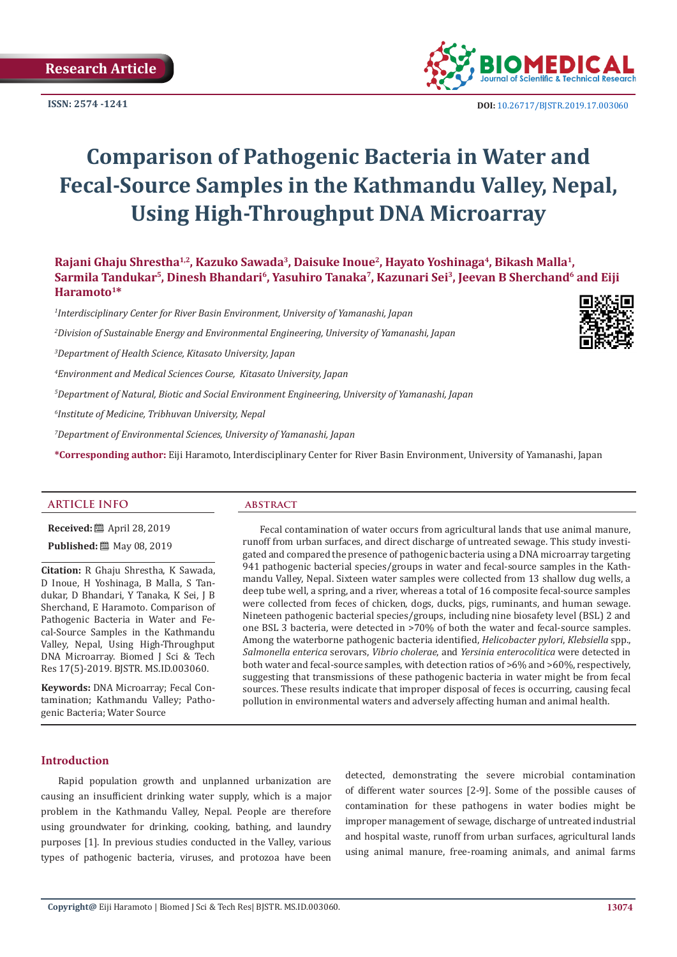**ISSN: 2574 -1241**



 **DOI:** [10.26717/BJSTR.2019.17.0030](http://dx.doi.org/10.26717/BJSTR.2019.17.003060)60

# **Comparison of Pathogenic Bacteria in Water and Fecal-Source Samples in the Kathmandu Valley, Nepal, Using High-Throughput DNA Microarray**

Rajani Ghaju Shrestha<sup>1,2</sup>, Kazuko Sawada<sup>3</sup>, Daisuke Inoue<sup>2</sup>, Hayato Yoshinaga<sup>4</sup>, Bikash Malla<sup>1</sup>, Sarmila Tandukar<sup>5</sup>, Dinesh Bhandari<sup>6</sup>, Yasuhiro Tanaka<sup>7</sup>, Kazunari Sei<sup>3</sup>, Jeevan B Sherchand<sup>6</sup> and Eiji **Haramoto1\***

 *Interdisciplinary Center for River Basin Environment, University of Yamanashi, Japan Division of Sustainable Energy and Environmental Engineering, University of Yamanashi, Japan Department of Health Science, Kitasato University, Japan Environment and Medical Sciences Course, Kitasato University, Japan Department of Natural, Biotic and Social Environment Engineering, University of Yamanashi, Japan Institute of Medicine, Tribhuvan University, Nepal Department of Environmental Sciences, University of Yamanashi, Japan*

**\*Corresponding author:** Eiji Haramoto, Interdisciplinary Center for River Basin Environment, University of Yamanashi, Japan

# **ARTICLE INFO abstract**

**Received:** ■ April 28, 2019 **Published:** ■ May 08, 2019

**Citation:** R Ghaju Shrestha, K Sawada, D Inoue, H Yoshinaga, B Malla, S Tandukar, D Bhandari, Y Tanaka, K Sei, J B Sherchand, E Haramoto. Comparison of Pathogenic Bacteria in Water and Fecal-Source Samples in the Kathmandu Valley, Nepal, Using High-Throughput DNA Microarray. Biomed J Sci & Tech Res 17(5)-2019. BJSTR. MS.ID.003060.

**Keywords:** DNA Microarray; Fecal Contamination; Kathmandu Valley; Pathogenic Bacteria; Water Source

Fecal contamination of water occurs from agricultural lands that use animal manure, runoff from urban surfaces, and direct discharge of untreated sewage. This study investigated and compared the presence of pathogenic bacteria using a DNA microarray targeting 941 pathogenic bacterial species/groups in water and fecal-source samples in the Kathmandu Valley, Nepal. Sixteen water samples were collected from 13 shallow dug wells, a deep tube well, a spring, and a river, whereas a total of 16 composite fecal-source samples were collected from feces of chicken, dogs, ducks, pigs, ruminants, and human sewage. Nineteen pathogenic bacterial species/groups, including nine biosafety level (BSL) 2 and one BSL 3 bacteria, were detected in >70% of both the water and fecal-source samples. Among the waterborne pathogenic bacteria identified, *Helicobacter pylori*, *Klebsiella* spp., *Salmonella enterica* serovars, *Vibrio cholerae*, and *Yersinia enterocolitica* were detected in both water and fecal-source samples, with detection ratios of >6% and >60%, respectively, suggesting that transmissions of these pathogenic bacteria in water might be from fecal sources. These results indicate that improper disposal of feces is occurring, causing fecal pollution in environmental waters and adversely affecting human and animal health.

# **Introduction**

Rapid population growth and unplanned urbanization are causing an insufficient drinking water supply, which is a major problem in the Kathmandu Valley, Nepal. People are therefore using groundwater for drinking, cooking, bathing, and laundry purposes [1]. In previous studies conducted in the Valley, various types of pathogenic bacteria, viruses, and protozoa have been detected, demonstrating the severe microbial contamination of different water sources [2-9]. Some of the possible causes of contamination for these pathogens in water bodies might be improper management of sewage, discharge of untreated industrial and hospital waste, runoff from urban surfaces, agricultural lands using animal manure, free-roaming animals, and animal farms

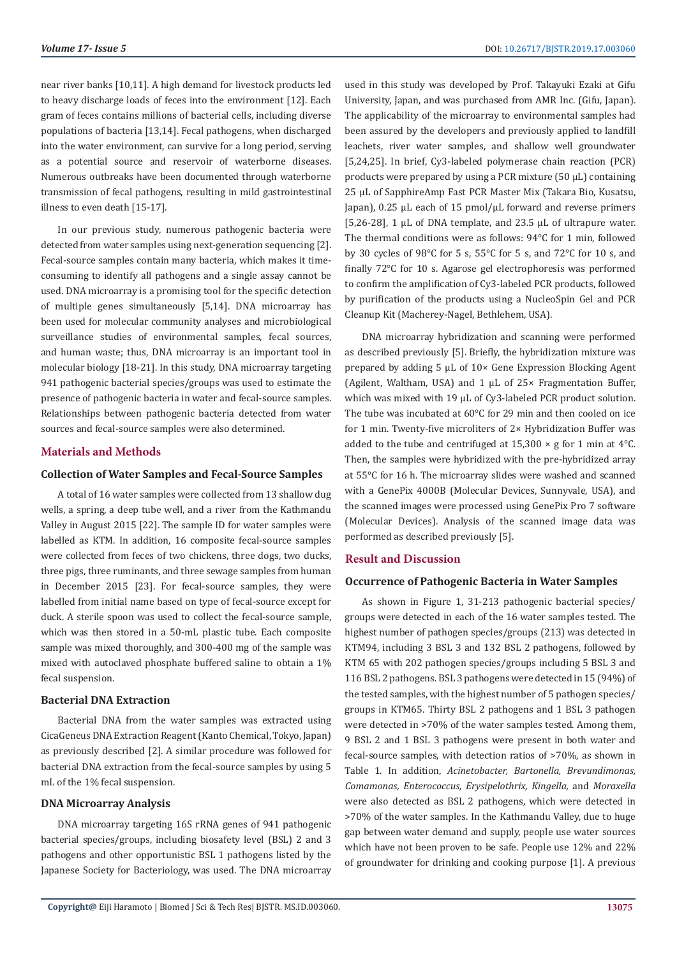near river banks [10,11]. A high demand for livestock products led to heavy discharge loads of feces into the environment [12]. Each gram of feces contains millions of bacterial cells, including diverse populations of bacteria [13,14]. Fecal pathogens, when discharged into the water environment, can survive for a long period, serving as a potential source and reservoir of waterborne diseases. Numerous outbreaks have been documented through waterborne transmission of fecal pathogens, resulting in mild gastrointestinal illness to even death [15-17].

In our previous study, numerous pathogenic bacteria were detected from water samples using next-generation sequencing [2]. Fecal-source samples contain many bacteria, which makes it timeconsuming to identify all pathogens and a single assay cannot be used. DNA microarray is a promising tool for the specific detection of multiple genes simultaneously [5,14]. DNA microarray has been used for molecular community analyses and microbiological surveillance studies of environmental samples, fecal sources, and human waste; thus, DNA microarray is an important tool in molecular biology [18-21]. In this study, DNA microarray targeting 941 pathogenic bacterial species/groups was used to estimate the presence of pathogenic bacteria in water and fecal-source samples. Relationships between pathogenic bacteria detected from water sources and fecal-source samples were also determined.

# **Materials and Methods**

## **Collection of Water Samples and Fecal-Source Samples**

A total of 16 water samples were collected from 13 shallow dug wells, a spring, a deep tube well, and a river from the Kathmandu Valley in August 2015 [22]. The sample ID for water samples were labelled as KTM. In addition, 16 composite fecal-source samples were collected from feces of two chickens, three dogs, two ducks, three pigs, three ruminants, and three sewage samples from human in December 2015 [23]. For fecal-source samples, they were labelled from initial name based on type of fecal-source except for duck. A sterile spoon was used to collect the fecal-source sample, which was then stored in a 50-mL plastic tube. Each composite sample was mixed thoroughly, and 300-400 mg of the sample was mixed with autoclaved phosphate buffered saline to obtain a 1% fecal suspension.

## **Bacterial DNA Extraction**

Bacterial DNA from the water samples was extracted using CicaGeneus DNA Extraction Reagent (Kanto Chemical, Tokyo, Japan) as previously described [2]. A similar procedure was followed for bacterial DNA extraction from the fecal-source samples by using 5 mL of the 1% fecal suspension.

# **DNA Microarray Analysis**

DNA microarray targeting 16S rRNA genes of 941 pathogenic bacterial species/groups, including biosafety level (BSL) 2 and 3 pathogens and other opportunistic BSL 1 pathogens listed by the Japanese Society for Bacteriology, was used. The DNA microarray

used in this study was developed by Prof. Takayuki Ezaki at Gifu University, Japan, and was purchased from AMR Inc. (Gifu, Japan). The applicability of the microarray to environmental samples had been assured by the developers and previously applied to landfill leachets, river water samples, and shallow well groundwater [5,24,25]. In brief, Cy3-labeled polymerase chain reaction (PCR) products were prepared by using a PCR mixture (50 µL) containing 25 µL of SapphireAmp Fast PCR Master Mix (Takara Bio, Kusatsu, Japan), 0.25 µL each of 15 pmol/µL forward and reverse primers [5,26-28], 1 µL of DNA template, and 23.5 µL of ultrapure water. The thermal conditions were as follows: 94°C for 1 min, followed by 30 cycles of 98°C for 5 s, 55°C for 5 s, and 72°C for 10 s, and finally 72°C for 10 s. Agarose gel electrophoresis was performed to confirm the amplification of Cy3-labeled PCR products, followed by purification of the products using a NucleoSpin Gel and PCR Cleanup Kit (Macherey-Nagel, Bethlehem, USA).

DNA microarray hybridization and scanning were performed as described previously [5]. Briefly, the hybridization mixture was prepared by adding 5 µL of 10× Gene Expression Blocking Agent (Agilent, Waltham, USA) and 1 uL of 25× Fragmentation Buffer, which was mixed with 19 µL of Cy3-labeled PCR product solution. The tube was incubated at 60°C for 29 min and then cooled on ice for 1 min. Twenty-five microliters of 2× Hybridization Buffer was added to the tube and centrifuged at  $15,300 \times g$  for 1 min at  $4^{\circ}$ C. Then, the samples were hybridized with the pre-hybridized array at 55°C for 16 h. The microarray slides were washed and scanned with a GenePix 4000B (Molecular Devices, Sunnyvale, USA), and the scanned images were processed using GenePix Pro 7 software (Molecular Devices). Analysis of the scanned image data was performed as described previously [5].

### **Result and Discussion**

# **Occurrence of Pathogenic Bacteria in Water Samples**

As shown in Figure 1, 31-213 pathogenic bacterial species/ groups were detected in each of the 16 water samples tested. The highest number of pathogen species/groups (213) was detected in KTM94, including 3 BSL 3 and 132 BSL 2 pathogens, followed by KTM 65 with 202 pathogen species/groups including 5 BSL 3 and 116 BSL 2 pathogens. BSL 3 pathogens were detected in 15 (94%) of the tested samples, with the highest number of 5 pathogen species/ groups in KTM65. Thirty BSL 2 pathogens and 1 BSL 3 pathogen were detected in >70% of the water samples tested. Among them, 9 BSL 2 and 1 BSL 3 pathogens were present in both water and fecal-source samples, with detection ratios of >70%, as shown in Table 1. In addition, *Acinetobacter, Bartonella, Brevundimonas, Comamonas, Enterococcus, Erysipelothrix, Kingella,* and *Moraxella* were also detected as BSL 2 pathogens, which were detected in >70% of the water samples. In the Kathmandu Valley, due to huge gap between water demand and supply, people use water sources which have not been proven to be safe. People use 12% and 22% of groundwater for drinking and cooking purpose [1]. A previous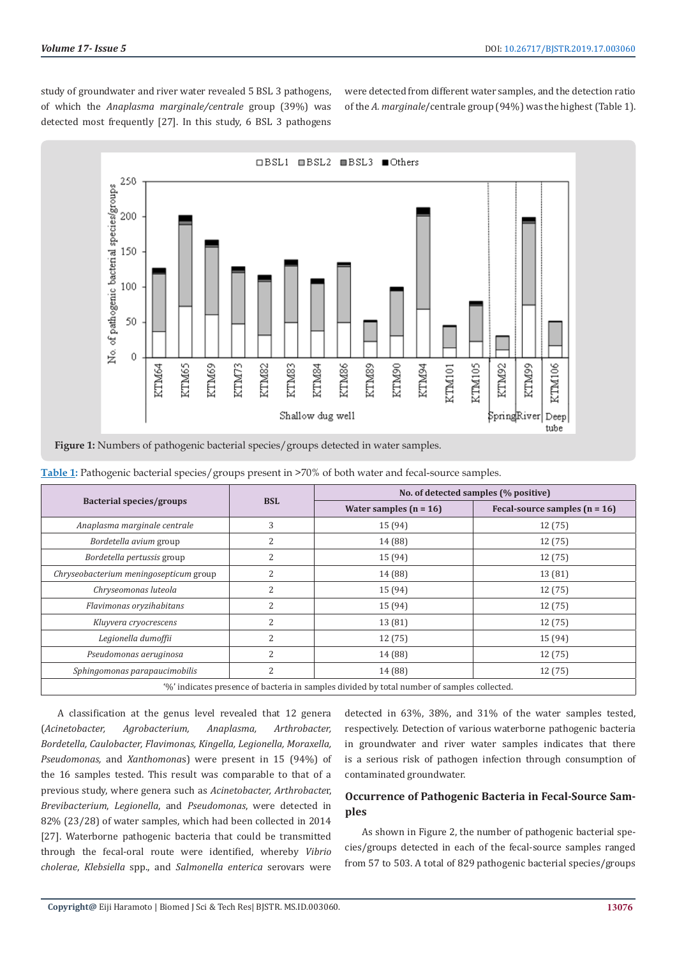study of groundwater and river water revealed 5 BSL 3 pathogens, of which the *Anaplasma marginale/centrale* group (39%) was detected most frequently [27]. In this study, 6 BSL 3 pathogens

were detected from different water samples, and the detection ratio of the *A. marginale*/centrale group (94%) was the highest (Table 1).



|                                                                                             | <b>BSL</b>     | No. of detected samples (% positive) |                                 |  |  |
|---------------------------------------------------------------------------------------------|----------------|--------------------------------------|---------------------------------|--|--|
| Bacterial species/groups                                                                    |                | Water samples $(n = 16)$             | Fecal-source samples $(n = 16)$ |  |  |
| Anaplasma marginale centrale                                                                | 3              | 15 (94)                              | 12 (75)                         |  |  |
| Bordetella avium group                                                                      | 2              | 14 (88)                              | 12 (75)                         |  |  |
| Bordetella pertussis group                                                                  | 2              | 15 (94)                              | 12 (75)                         |  |  |
| Chryseobacterium meningosepticum group                                                      | $\overline{2}$ | 14 (88)                              | 13 (81)                         |  |  |
| Chryseomonas luteola                                                                        | 2              | 15 (94)                              | 12 (75)                         |  |  |
| Flavimonas oryzihabitans                                                                    | $\overline{2}$ | 15 (94)                              | 12 (75)                         |  |  |
| Kluyvera cryocrescens                                                                       | $\overline{2}$ | 13 (81)                              | 12 (75)                         |  |  |
| Legionella dumoffii                                                                         | $\overline{c}$ | 12 (75)                              | 15 (94)                         |  |  |
| Pseudomonas aeruginosa                                                                      | $\overline{2}$ | 14 (88)                              | 12 (75)                         |  |  |
| Sphingomonas parapaucimobilis                                                               | 2              | 14 (88)                              | 12 (75)                         |  |  |
| '%' indicates presence of bacteria in samples divided by total number of samples collected. |                |                                      |                                 |  |  |

**Table 1:** Pathogenic bacterial species/groups present in >70% of both water and fecal-source samples.

A classification at the genus level revealed that 12 genera (*Acinetobacter, Agrobacterium, Anaplasma, Arthrobacter, Bordetella, Caulobacter, Flavimonas, Kingella, Legionella, Moraxella, Pseudomonas,* and *Xanthomona*s) were present in 15 (94%) of the 16 samples tested. This result was comparable to that of a previous study, where genera such as *Acinetobacter, Arthrobacte*r, *Brevibacterium*, *Legionella*, and *Pseudomonas*, were detected in 82% (23/28) of water samples, which had been collected in 2014 [27]. Waterborne pathogenic bacteria that could be transmitted through the fecal-oral route were identified, whereby *Vibrio cholerae*, *Klebsiella* spp., and *Salmonella enterica* serovars were

detected in 63%, 38%, and 31% of the water samples tested, respectively. Detection of various waterborne pathogenic bacteria in groundwater and river water samples indicates that there is a serious risk of pathogen infection through consumption of contaminated groundwater.

# **Occurrence of Pathogenic Bacteria in Fecal-Source Samples**

As shown in Figure 2, the number of pathogenic bacterial species/groups detected in each of the fecal-source samples ranged from 57 to 503. A total of 829 pathogenic bacterial species/groups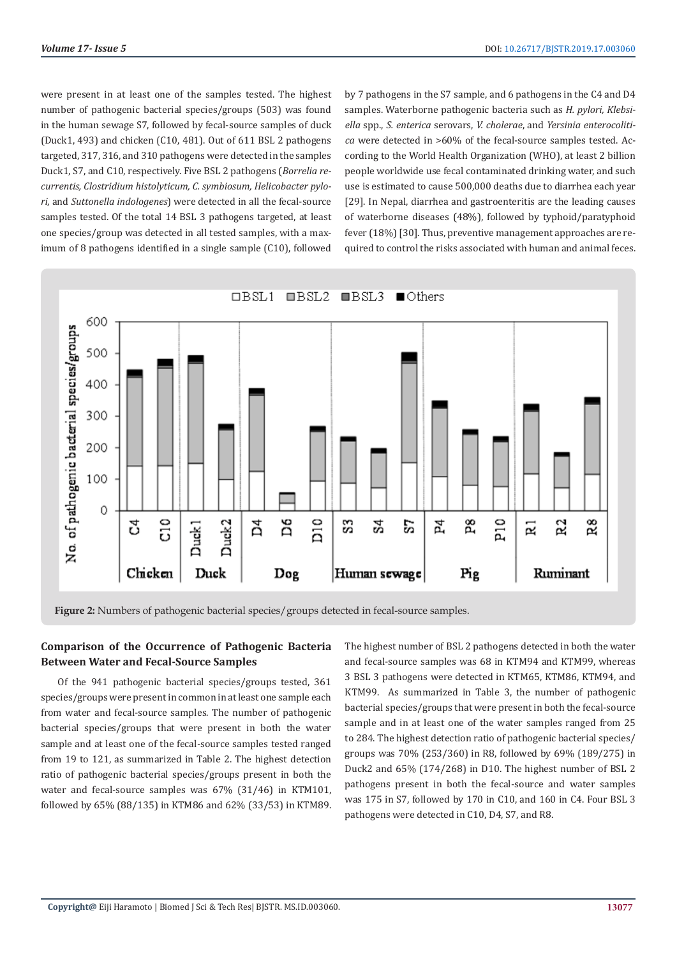were present in at least one of the samples tested. The highest number of pathogenic bacterial species/groups (503) was found in the human sewage S7, followed by fecal-source samples of duck (Duck1, 493) and chicken (C10, 481). Out of 611 BSL 2 pathogens targeted, 317, 316, and 310 pathogens were detected in the samples Duck1, S7, and C10, respectively. Five BSL 2 pathogens (*Borrelia recurrentis, Clostridium histolyticum, C. symbiosum, Helicobacter pylori,* and *Suttonella indologenes*) were detected in all the fecal-source samples tested. Of the total 14 BSL 3 pathogens targeted, at least one species/group was detected in all tested samples, with a maximum of 8 pathogens identified in a single sample (C10), followed

by 7 pathogens in the S7 sample, and 6 pathogens in the C4 and D4 samples. Waterborne pathogenic bacteria such as *H. pylori, Klebsiella* spp., *S. enterica* serovars, *V. cholerae*, and *Yersinia enterocolitica* were detected in >60% of the fecal-source samples tested. According to the World Health Organization (WHO), at least 2 billion people worldwide use fecal contaminated drinking water, and such use is estimated to cause 500,000 deaths due to diarrhea each year [29]. In Nepal, diarrhea and gastroenteritis are the leading causes of waterborne diseases (48%), followed by typhoid/paratyphoid fever (18%) [30]. Thus, preventive management approaches are required to control the risks associated with human and animal feces.



**Figure 2:** Numbers of pathogenic bacterial species/groups detected in fecal-source samples.

# **Comparison of the Occurrence of Pathogenic Bacteria Between Water and Fecal-Source Samples**

Of the 941 pathogenic bacterial species/groups tested, 361 species/groups were present in common in at least one sample each from water and fecal-source samples. The number of pathogenic bacterial species/groups that were present in both the water sample and at least one of the fecal-source samples tested ranged from 19 to 121, as summarized in Table 2. The highest detection ratio of pathogenic bacterial species/groups present in both the water and fecal-source samples was 67% (31/46) in KTM101, followed by 65% (88/135) in KTM86 and 62% (33/53) in KTM89.

The highest number of BSL 2 pathogens detected in both the water and fecal-source samples was 68 in KTM94 and KTM99, whereas 3 BSL 3 pathogens were detected in KTM65, KTM86, KTM94, and KTM99. As summarized in Table 3, the number of pathogenic bacterial species/groups that were present in both the fecal-source sample and in at least one of the water samples ranged from 25 to 284. The highest detection ratio of pathogenic bacterial species/ groups was 70% (253/360) in R8, followed by 69% (189/275) in Duck2 and 65% (174/268) in D10. The highest number of BSL 2 pathogens present in both the fecal-source and water samples was 175 in S7, followed by 170 in C10, and 160 in C4. Four BSL 3 pathogens were detected in C10, D4, S7, and R8.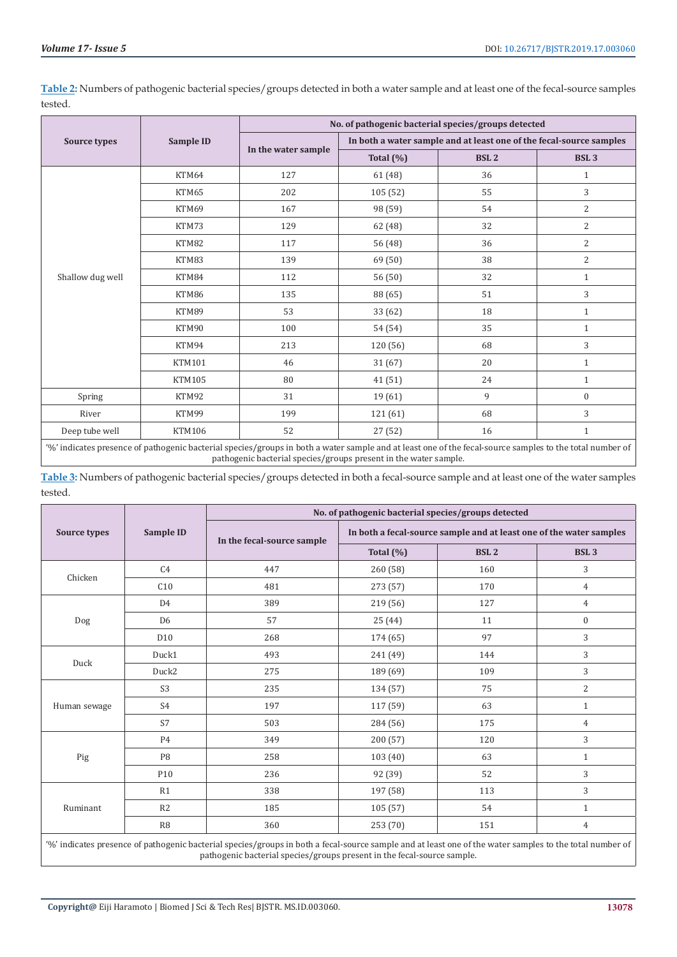|                                                                                                                                                                                                                                               |               | No. of pathogenic bacterial species/groups detected |                                                                     |             |                  |  |  |
|-----------------------------------------------------------------------------------------------------------------------------------------------------------------------------------------------------------------------------------------------|---------------|-----------------------------------------------------|---------------------------------------------------------------------|-------------|------------------|--|--|
| Source types                                                                                                                                                                                                                                  | Sample ID     |                                                     | In both a water sample and at least one of the fecal-source samples |             |                  |  |  |
|                                                                                                                                                                                                                                               |               | In the water sample                                 | Total $(\%)$                                                        | <b>BSL2</b> | BSL <sub>3</sub> |  |  |
| Shallow dug well                                                                                                                                                                                                                              | KTM64         | 127                                                 | 61 (48)                                                             | 36          | $\mathbf{1}$     |  |  |
|                                                                                                                                                                                                                                               | KTM65         | 202                                                 | 105 (52)                                                            | 55          | 3                |  |  |
|                                                                                                                                                                                                                                               | KTM69         | 167                                                 | 98 (59)                                                             | 54          | $\overline{2}$   |  |  |
|                                                                                                                                                                                                                                               | KTM73         | 129                                                 | 62 (48)                                                             | 32          | $\overline{2}$   |  |  |
|                                                                                                                                                                                                                                               | KTM82         | 117                                                 | 56 (48)                                                             | 36          | $\overline{2}$   |  |  |
|                                                                                                                                                                                                                                               | KTM83         | 139                                                 | 69 (50)                                                             | 38          | $\overline{2}$   |  |  |
|                                                                                                                                                                                                                                               | KTM84         | 112                                                 | 56 (50)                                                             | 32          | $\mathbf{1}$     |  |  |
|                                                                                                                                                                                                                                               | KTM86         | 135                                                 | 88 (65)                                                             | 51          | 3                |  |  |
|                                                                                                                                                                                                                                               | KTM89         | 53                                                  | 33 (62)                                                             | 18          | $1\,$            |  |  |
|                                                                                                                                                                                                                                               | KTM90         | 100                                                 | 54 (54)                                                             | 35          | $\mathbf{1}$     |  |  |
|                                                                                                                                                                                                                                               | KTM94         | 213                                                 | 120 (56)                                                            | 68          | 3                |  |  |
|                                                                                                                                                                                                                                               | KTM101        | 46                                                  | 31(67)                                                              | 20          | $\mathbf{1}$     |  |  |
|                                                                                                                                                                                                                                               | <b>KTM105</b> | 80                                                  | 41 (51)                                                             | 24          | $\mathbf{1}$     |  |  |
| Spring                                                                                                                                                                                                                                        | KTM92         | 31                                                  | 19 (61)                                                             | 9           | $\mathbf{0}$     |  |  |
| River                                                                                                                                                                                                                                         | KTM99         | 199                                                 | 121 (61)                                                            | 68          | 3                |  |  |
| Deep tube well                                                                                                                                                                                                                                | <b>KTM106</b> | 52                                                  | 27 (52)                                                             | 16          | $\mathbf{1}$     |  |  |
| $(0,1)$ $(1,1)$<br>$\mathbf{A}$ and $\mathbf{A}$ and $\mathbf{A}$ and $\mathbf{A}$ and $\mathbf{A}$<br>$\sim$ $\sim$ $\sim$ $\sim$<br>$\cdots$<br><b>The Committee of the Committee Committee</b><br>$\mathcal{L}$ . The set of $\mathcal{L}$ |               |                                                     |                                                                     |             |                  |  |  |

**Table 2:** Numbers of pathogenic bacterial species/groups detected in both a water sample and at least one of the fecal-source samples tested.

'%' indicates presence of pathogenic bacterial species/groups in both a water sample and at least one of the fecal-source samples to the total number of pathogenic bacterial species/groups present in the water sample.

**Table 3:** Numbers of pathogenic bacterial species/groups detected in both a fecal-source sample and at least one of the water samples tested.

|                                                                                                                                                       | Sample ID       | No. of pathogenic bacterial species/groups detected |                                                                     |             |                  |  |
|-------------------------------------------------------------------------------------------------------------------------------------------------------|-----------------|-----------------------------------------------------|---------------------------------------------------------------------|-------------|------------------|--|
| Source types                                                                                                                                          |                 | In the fecal-source sample                          | In both a fecal-source sample and at least one of the water samples |             |                  |  |
|                                                                                                                                                       |                 |                                                     | Total (%)                                                           | <b>BSL2</b> | BSL <sub>3</sub> |  |
| Chicken                                                                                                                                               | C <sub>4</sub>  | 447                                                 | 260 (58)                                                            | 160         | 3                |  |
|                                                                                                                                                       | C10             | 481                                                 | 273 (57)                                                            | 170         | $\overline{4}$   |  |
|                                                                                                                                                       | D <sub>4</sub>  | 389                                                 | 219 (56)                                                            | 127         | $\overline{4}$   |  |
| Dog                                                                                                                                                   | D <sub>6</sub>  | 57                                                  | 25(44)                                                              | 11          | $\boldsymbol{0}$ |  |
|                                                                                                                                                       | D <sub>10</sub> | 268                                                 | 174 (65)                                                            | 97          | 3                |  |
| Duck                                                                                                                                                  | Duck1           | 493                                                 | 241 (49)                                                            | 144         | 3                |  |
|                                                                                                                                                       | Duck2           | 275                                                 | 189 (69)                                                            | 109         | 3                |  |
|                                                                                                                                                       | S <sub>3</sub>  | 235                                                 | 134 (57)                                                            | 75          | $\overline{2}$   |  |
| Human sewage                                                                                                                                          | S4              | 197                                                 | 117 (59)                                                            | 63          | $\mathbf{1}$     |  |
|                                                                                                                                                       | <b>S7</b>       | 503                                                 | 284 (56)                                                            | 175         | $\overline{4}$   |  |
| Pig                                                                                                                                                   | P <sub>4</sub>  | 349                                                 | 200 (57)                                                            | 120         | 3                |  |
|                                                                                                                                                       | P <sub>8</sub>  | 258                                                 | 103(40)                                                             | 63          | $\mathbf{1}$     |  |
|                                                                                                                                                       | P <sub>10</sub> | 236                                                 | 92 (39)                                                             | 52          | 3                |  |
| Ruminant                                                                                                                                              | R1              | 338                                                 | 197 (58)                                                            | 113         | 3                |  |
|                                                                                                                                                       | R2              | 185                                                 | 105(57)                                                             | 54          | $\mathbf{1}$     |  |
|                                                                                                                                                       | R <sub>8</sub>  | 360                                                 | 253 (70)                                                            | 151         | $\overline{4}$   |  |
| Windicates presence of pathogenic bacterial species/groups in both a fecal-source sample and at least one of the water samples to the total number of |                 |                                                     |                                                                     |             |                  |  |

acterial species/groups in both a fecal-source sample and at least one of the water pathogenic bacterial species/groups present in the fecal-source sample.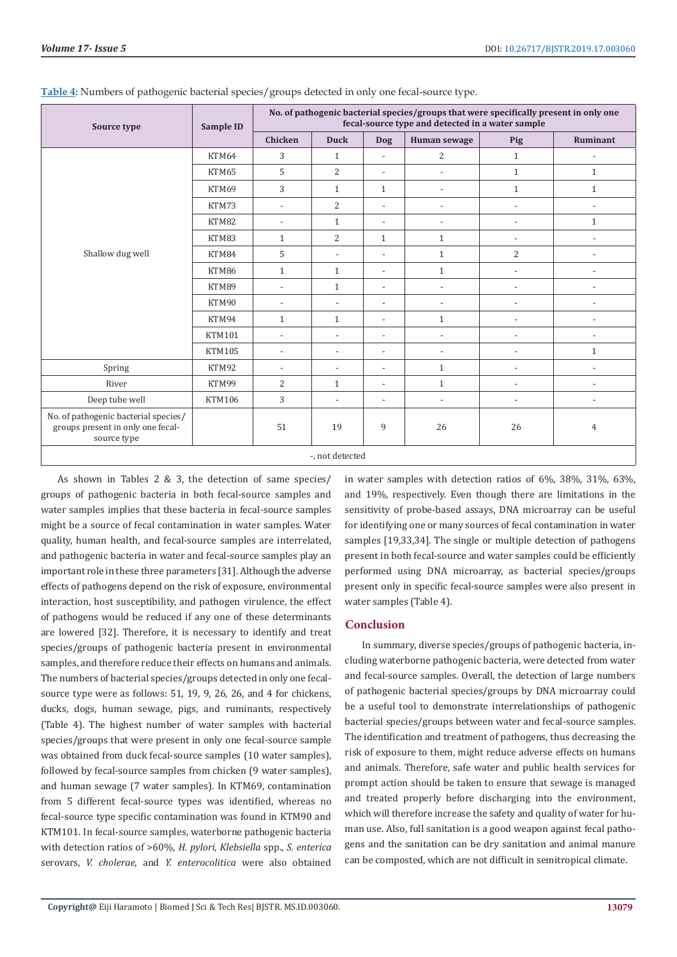| Source type                                                                              | Sample ID     | No. of pathogenic bacterial species/groups that were specifically present in only one<br>fecal-source type and detected in a water sample |                          |                          |                          |                          |                          |
|------------------------------------------------------------------------------------------|---------------|-------------------------------------------------------------------------------------------------------------------------------------------|--------------------------|--------------------------|--------------------------|--------------------------|--------------------------|
|                                                                                          |               | <b>Chicken</b>                                                                                                                            | <b>Duck</b>              | <b>Dog</b>               | Human sewage             | Pig                      | Ruminant                 |
| Shallow dug well                                                                         | KTM64         | 3                                                                                                                                         | $\mathbf{1}$             | $\overline{a}$           | 2                        | $\mathbf{1}$             | $\overline{\phantom{a}}$ |
|                                                                                          | KTM65         | 5                                                                                                                                         | $\overline{2}$           | $\overline{a}$           | $\overline{\phantom{0}}$ | $\mathbf{1}$             | $\mathbf{1}$             |
|                                                                                          | KTM69         | 3                                                                                                                                         | $\mathbf{1}$             | $\mathbf{1}$             | $\overline{\phantom{0}}$ | $\mathbf{1}$             | $\mathbf{1}$             |
|                                                                                          | KTM73         | $\overline{\phantom{a}}$                                                                                                                  | $\overline{2}$           | $\overline{a}$           | $\overline{\phantom{0}}$ |                          | $\overline{\phantom{a}}$ |
|                                                                                          | KTM82         | $\overline{\phantom{a}}$                                                                                                                  | $\mathbf{1}$             | $\overline{\phantom{a}}$ | $\overline{\phantom{a}}$ | $\overline{\phantom{a}}$ | $\mathbf{1}$             |
|                                                                                          | KTM83         | $\mathbf{1}$                                                                                                                              | $\overline{c}$           | $\mathbf{1}$             | $\mathbf{1}$             |                          | $\overline{\phantom{a}}$ |
|                                                                                          | KTM84         | 5                                                                                                                                         | $\overline{\phantom{a}}$ | $\overline{a}$           | $\mathbf{1}$             | $\overline{2}$           | $\overline{a}$           |
|                                                                                          | KTM86         | $\mathbf{1}$                                                                                                                              | $\mathbf{1}$             | $\overline{a}$           | $\mathbf{1}$             |                          | $\overline{a}$           |
|                                                                                          | KTM89         | $\overline{\phantom{a}}$                                                                                                                  | $\mathbf{1}$             | $\overline{a}$           | $\overline{\phantom{a}}$ |                          | $\overline{a}$           |
|                                                                                          | KTM90         | $\overline{\phantom{a}}$                                                                                                                  | $\overline{\phantom{a}}$ | $\overline{\phantom{a}}$ | $\overline{\phantom{a}}$ |                          | $\overline{a}$           |
|                                                                                          | KTM94         | $\mathbf{1}$                                                                                                                              | $\mathbf{1}$             | $\overline{\phantom{a}}$ | $\mathbf{1}$             |                          |                          |
|                                                                                          | <b>KTM101</b> | $\overline{\phantom{a}}$                                                                                                                  | $\overline{a}$           | $\overline{\phantom{a}}$ | $\overline{\phantom{a}}$ | $\overline{\phantom{a}}$ | $\overline{a}$           |
|                                                                                          | <b>KTM105</b> | $\overline{\phantom{a}}$                                                                                                                  | $\overline{\phantom{a}}$ | $\overline{a}$           | $\frac{1}{2}$            |                          | $\mathbf{1}$             |
| Spring                                                                                   | KTM92         | $\overline{\phantom{a}}$                                                                                                                  | $\overline{\phantom{a}}$ | $\overline{a}$           | $\mathbf{1}$             | $\overline{\phantom{a}}$ | $\overline{\phantom{a}}$ |
| River                                                                                    | KTM99         | 2                                                                                                                                         | $\mathbf{1}$             | $\overline{a}$           | $\mathbf{1}$             |                          | $\overline{a}$           |
| Deep tube well                                                                           | <b>KTM106</b> | 3                                                                                                                                         | $\overline{\phantom{a}}$ | $\overline{\phantom{a}}$ | $\overline{\phantom{a}}$ | $\overline{\phantom{a}}$ | $\overline{a}$           |
| No. of pathogenic bacterial species/<br>groups present in only one fecal-<br>source type |               | 51                                                                                                                                        | 19                       | 9                        | 26                       | 26                       | 4                        |
| -, not detected                                                                          |               |                                                                                                                                           |                          |                          |                          |                          |                          |

#### **Table 4:** Numbers of pathogenic bacterial species/groups detected in only one fecal-source type.

-, not detected

As shown in Tables 2 & 3, the detection of same species/ groups of pathogenic bacteria in both fecal-source samples and water samples implies that these bacteria in fecal-source samples might be a source of fecal contamination in water samples. Water quality, human health, and fecal-source samples are interrelated, and pathogenic bacteria in water and fecal-source samples play an important role in these three parameters [31]. Although the adverse effects of pathogens depend on the risk of exposure, environmental interaction, host susceptibility, and pathogen virulence, the effect of pathogens would be reduced if any one of these determinants are lowered [32]. Therefore, it is necessary to identify and treat species/groups of pathogenic bacteria present in environmental samples, and therefore reduce their effects on humans and animals. The numbers of bacterial species/groups detected in only one fecalsource type were as follows: 51, 19, 9, 26, 26, and 4 for chickens, ducks, dogs, human sewage, pigs, and ruminants, respectively (Table 4). The highest number of water samples with bacterial species/groups that were present in only one fecal-source sample was obtained from duck fecal-source samples (10 water samples), followed by fecal-source samples from chicken (9 water samples), and human sewage (7 water samples). In KTM69, contamination from 5 different fecal-source types was identified, whereas no fecal-source type specific contamination was found in KTM90 and KTM101. In fecal-source samples, waterborne pathogenic bacteria with detection ratios of >60%, *H. pylori, Klebsiella* spp., *S. enterica*  serovars, *V. cholerae*, and *Y. enterocolitica* were also obtained

in water samples with detection ratios of 6%, 38%, 31%, 63%, and 19%, respectively. Even though there are limitations in the sensitivity of probe-based assays, DNA microarray can be useful for identifying one or many sources of fecal contamination in water samples [19,33,34]. The single or multiple detection of pathogens present in both fecal-source and water samples could be efficiently performed using DNA microarray, as bacterial species/groups present only in specific fecal-source samples were also present in water samples (Table 4).

# **Conclusion**

In summary, diverse species/groups of pathogenic bacteria, including waterborne pathogenic bacteria, were detected from water and fecal-source samples. Overall, the detection of large numbers of pathogenic bacterial species/groups by DNA microarray could be a useful tool to demonstrate interrelationships of pathogenic bacterial species/groups between water and fecal-source samples. The identification and treatment of pathogens, thus decreasing the risk of exposure to them, might reduce adverse effects on humans and animals. Therefore, safe water and public health services for prompt action should be taken to ensure that sewage is managed and treated properly before discharging into the environment, which will therefore increase the safety and quality of water for human use. Also, full sanitation is a good weapon against fecal pathogens and the sanitation can be dry sanitation and animal manure can be composted, which are not difficult in semitropical climate.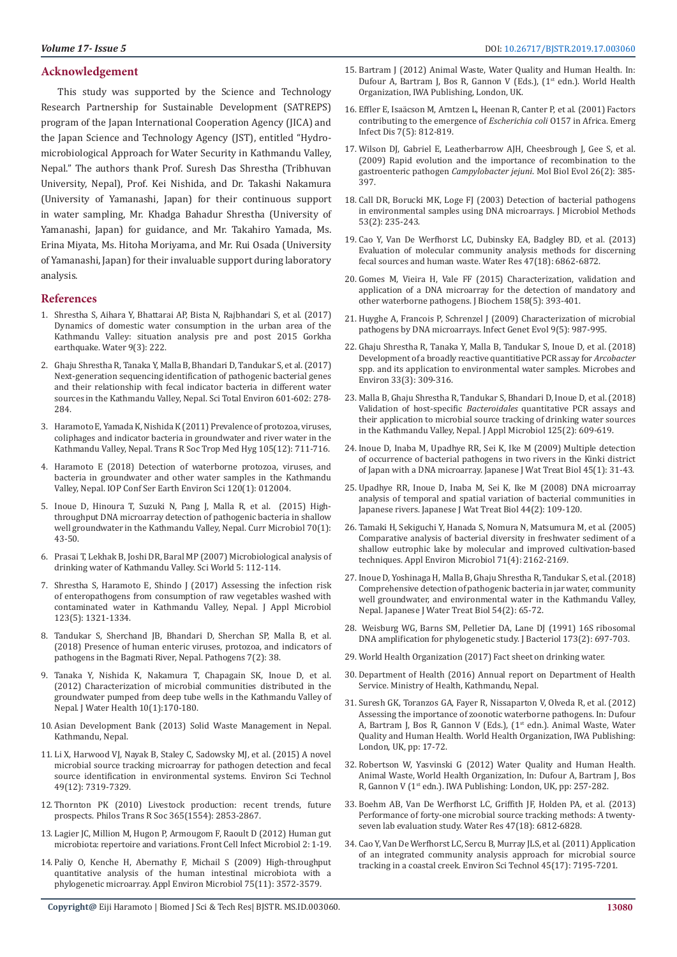# **Acknowledgement**

This study was supported by the Science and Technology Research Partnership for Sustainable Development (SATREPS) program of the Japan International Cooperation Agency (JICA) and the Japan Science and Technology Agency (JST), entitled "Hydromicrobiological Approach for Water Security in Kathmandu Valley, Nepal." The authors thank Prof. Suresh Das Shrestha (Tribhuvan University, Nepal), Prof. Kei Nishida, and Dr. Takashi Nakamura (University of Yamanashi, Japan) for their continuous support in water sampling, Mr. Khadga Bahadur Shrestha (University of Yamanashi, Japan) for guidance, and Mr. Takahiro Yamada, Ms. Erina Miyata, Ms. Hitoha Moriyama, and Mr. Rui Osada (University of Yamanashi, Japan) for their invaluable support during laboratory analysis.

#### **References**

- 1. [Shrestha S, Aihara Y, Bhattarai AP, Bista N, Rajbhandari S, et al. \(2017\)](https://www.mdpi.com/2073-4441/9/3/222)  [Dynamics of domestic water consumption in the urban area of the](https://www.mdpi.com/2073-4441/9/3/222)  [Kathmandu Valley: situation analysis pre and post 2015 Gorkha](https://www.mdpi.com/2073-4441/9/3/222)  [earthquake. Water 9\(3\): 222.](https://www.mdpi.com/2073-4441/9/3/222)
- 2. [Ghaju Shrestha R, Tanaka Y, Malla B, Bhandari D, Tandukar S, et al. \(2017\)](https://www.ncbi.nlm.nih.gov/pubmed/28558276)  [Next-generation sequencing identification of pathogenic bacterial genes](https://www.ncbi.nlm.nih.gov/pubmed/28558276)  [and their relationship with fecal indicator bacteria in different water](https://www.ncbi.nlm.nih.gov/pubmed/28558276)  [sources in the Kathmandu Valley, Nepal. Sci Total Environ 601-602: 278-](https://www.ncbi.nlm.nih.gov/pubmed/28558276) [284.](https://www.ncbi.nlm.nih.gov/pubmed/28558276)
- 3. [Haramoto E, Yamada K, Nishida K \(2011\) Prevalence of protozoa, viruses,](https://www.ncbi.nlm.nih.gov/pubmed/22051175)  [coliphages and indicator bacteria in groundwater and river water in the](https://www.ncbi.nlm.nih.gov/pubmed/22051175)  [Kathmandu Valley, Nepal. Trans R Soc Trop Med Hyg 105\(12\): 711-716.](https://www.ncbi.nlm.nih.gov/pubmed/22051175)
- 4. [Haramoto E \(2018\) Detection of waterborne protozoa, viruses, and](https://iopscience.iop.org/article/10.1088/1755-1315/120/1/012004)  [bacteria in groundwater and other water samples in the Kathmandu](https://iopscience.iop.org/article/10.1088/1755-1315/120/1/012004)  [Valley, Nepal. IOP Conf Ser Earth Environ Sci 120\(1\): 012004.](https://iopscience.iop.org/article/10.1088/1755-1315/120/1/012004)
- 5. [Inoue D, Hinoura T, Suzuki N, Pang J, Malla R, et al. \(2015\) High](https://www.ncbi.nlm.nih.gov/pubmed/25146188)[throughput DNA microarray detection of pathogenic bacteria in shallow](https://www.ncbi.nlm.nih.gov/pubmed/25146188)  [well groundwater in the Kathmandu Valley, Nepal. Curr Microbiol 70\(1\):](https://www.ncbi.nlm.nih.gov/pubmed/25146188)  [43-50.](https://www.ncbi.nlm.nih.gov/pubmed/25146188)
- 6. Prasai T, Lekhak B, Joshi DR, Baral MP [\(2007\) Microbiological analysis of](https://www.researchgate.net/publication/240978278_Microbiological_Analysis_of_Drinking_Water_of_Kathmandu_Valley)  [drinking water of Kathmandu Valley. Sci World 5: 112-114.](https://www.researchgate.net/publication/240978278_Microbiological_Analysis_of_Drinking_Water_of_Kathmandu_Valley)
- 7. [Shrestha S, Haramoto E, Shindo J \(2017\) Assessing the infection risk](https://www.ncbi.nlm.nih.gov/pubmed/28833836)  [of enteropathogens from consumption of raw vegetables washed with](https://www.ncbi.nlm.nih.gov/pubmed/28833836)  [contaminated water in Kathmandu Valley, Nepal. J Appl Microbiol](https://www.ncbi.nlm.nih.gov/pubmed/28833836)  [123\(5\): 1321-1334.](https://www.ncbi.nlm.nih.gov/pubmed/28833836)
- 8. [Tandukar S, Sherchand JB, Bhandari D, Sherchan SP, Malla B, et al.](https://www.ncbi.nlm.nih.gov/pubmed/29642411)  [\(2018\) Presence of human enteric viruses, protozoa, and indicators of](https://www.ncbi.nlm.nih.gov/pubmed/29642411)  [pathogens in the Bagmati River, Nepal. Pathogens 7\(2\): 38.](https://www.ncbi.nlm.nih.gov/pubmed/29642411)
- 9. [Tanaka Y, Nishida K, Nakamura T, Chapagain SK, Inoue D, et al.](https://www.ncbi.nlm.nih.gov/pubmed/22361712)  [\(2012\) Characterization of microbial communities distributed in the](https://www.ncbi.nlm.nih.gov/pubmed/22361712)  [groundwater pumped from deep tube wells in the Kathmandu Valley of](https://www.ncbi.nlm.nih.gov/pubmed/22361712)  [Nepal. J Water Health 10\(1\):170-180.](https://www.ncbi.nlm.nih.gov/pubmed/22361712)
- 10. [Asian Development Bank \(2013\) Solid Waste Management in Nepal.](https://www.adb.org/sites/default/files/publication/30366/solid-waste-management-nepal.pdf)  [Kathmandu, Nepal.](https://www.adb.org/sites/default/files/publication/30366/solid-waste-management-nepal.pdf)
- 11. [Li X, Harwood VJ, Nayak B, Staley C, Sadowsky MJ, et al. \(2015\) A novel](https://www.ncbi.nlm.nih.gov/pubmed/25970344)  [microbial source tracking microarray for pathogen detection and fecal](https://www.ncbi.nlm.nih.gov/pubmed/25970344)  [source identification in environmental systems. Environ Sci Technol](https://www.ncbi.nlm.nih.gov/pubmed/25970344)  [49\(12\): 7319-7329.](https://www.ncbi.nlm.nih.gov/pubmed/25970344)
- 12. [Thornton PK \(2010\) Livestock production: recent trends, future](https://www.ncbi.nlm.nih.gov/pubmed/20713389)  [prospects. Philos Trans R Soc 365\(1554\): 2853-2867.](https://www.ncbi.nlm.nih.gov/pubmed/20713389)
- 13. [Lagier JC, Million M, Hugon P, Armougom F, Raoult D \(2012\) Human gut](https://www.ncbi.nlm.nih.gov/pmc/articles/PMC3487222/)  [microbiota: repertoire and variations. Front Cell Infect Microbiol 2: 1-19.](https://www.ncbi.nlm.nih.gov/pmc/articles/PMC3487222/)
- 14. [Paliy O, Kenche H, Abernathy F, Michail S \(2009\) High-throughput](https://www.ncbi.nlm.nih.gov/pubmed/19363078)  [quantitative analysis of the human intestinal microbiota with a](https://www.ncbi.nlm.nih.gov/pubmed/19363078)  [phylogenetic microarray. Appl Environ Microbiol 75\(11\): 3572-3579.](https://www.ncbi.nlm.nih.gov/pubmed/19363078)
- 15. Bartram J (2012) Animal Waste, Water Quality and Human Health. In: Dufour A, Bartram J, Bos R, Gannon V (Eds.), (1<sup>st</sup> edn.). World Health Organization, IWA Publishing, London, UK.
- 16. [Effler E, Isaäcson M, Arntzen L, Heenan R, Canter P, et al. \(2001\) Factors](https://www.ncbi.nlm.nih.gov/pmc/articles/PMC2631888/) [contributing to the emergence of](https://www.ncbi.nlm.nih.gov/pmc/articles/PMC2631888/) *Escherichia coli* O157 in Africa. Emerg [Infect Dis 7\(5\): 812-819.](https://www.ncbi.nlm.nih.gov/pmc/articles/PMC2631888/)
- 17. Wilson DJ, Gabriel E, Leatherbarrow AJH, Cheesbrough J, Gee S, et al. (2009) Rapid evolution and the importance of recombination to the gastroenteric pathogen *Campylobacter jejuni*. Mol Biol Evol 26(2): 385- 397.
- 18. [Call DR, Borucki MK, Loge FJ \(2003\) Detection of bacterial pathogens](https://www.ncbi.nlm.nih.gov/pubmed/12654494) [in environmental samples using DNA microarrays. J Microbiol Methods](https://www.ncbi.nlm.nih.gov/pubmed/12654494) [53\(2\): 235-243.](https://www.ncbi.nlm.nih.gov/pubmed/12654494)
- 19. [Cao Y, Van De Werfhorst LC, Dubinsky EA, Badgley BD, et al. \(2013\)](https://www.ncbi.nlm.nih.gov/pubmed/23880215) [Evaluation of molecular community analysis methods for discerning](https://www.ncbi.nlm.nih.gov/pubmed/23880215) [fecal sources and human waste. Water Res 47\(18\): 6862-6872.](https://www.ncbi.nlm.nih.gov/pubmed/23880215)
- 20. [Gomes M, Vieira H, Vale FF \(2015\) Characterization, validation and](https://www.ncbi.nlm.nih.gov/pubmed/25998249) [application of a DNA microarray for the detection of mandatory and](https://www.ncbi.nlm.nih.gov/pubmed/25998249) [other waterborne pathogens. J Biochem 158\(5\): 393-401.](https://www.ncbi.nlm.nih.gov/pubmed/25998249)
- 21. [Huyghe A, Francois P, Schrenzel J \(2009\) Characterization of microbial](https://www.ncbi.nlm.nih.gov/pubmed/19061975) [pathogens by DNA microarrays. Infect Genet Evol 9\(5\): 987-995.](https://www.ncbi.nlm.nih.gov/pubmed/19061975)
- 22. [Ghaju Shrestha R, Tanaka Y, Malla B, Tandukar S, Inoue D, et al. \(2018\)](https://www.ncbi.nlm.nih.gov/pubmed/30185726) [Development of a broadly reactive quantitiative PCR assay for](https://www.ncbi.nlm.nih.gov/pubmed/30185726) *Arcobacter* [spp. and its application to environmental water samples. Microbes and](https://www.ncbi.nlm.nih.gov/pubmed/30185726) [Environ 33\(3\): 309-316.](https://www.ncbi.nlm.nih.gov/pubmed/30185726)
- 23. [Malla B, Ghaju Shrestha R, Tandukar S, Bhandari D, Inoue D, et al. \(2018\)](https://www.ncbi.nlm.nih.gov/pubmed/29679435) Validation of host-specific *Bacteroidales* [quantitative PCR assays and](https://www.ncbi.nlm.nih.gov/pubmed/29679435) [their application to microbial source tracking of drinking water sources](https://www.ncbi.nlm.nih.gov/pubmed/29679435) [in the Kathmandu Valley, Nepal. J Appl Microbiol 125\(2\): 609-619.](https://www.ncbi.nlm.nih.gov/pubmed/29679435)
- 24. [Inoue D, Inaba M, Upadhye RR, Sei K, Ike M \(2009\) Multiple detection](https://www.researchgate.net/publication/231589986_Multiple_Detection_of_Occurrence_of_Bacterial_Pathogens_in_Two_Rivers_in_the_Kinki_District_of_Japan_with_a_DNA_Microarray) [of occurrence of bacterial pathogens in two rivers in the Kinki district](https://www.researchgate.net/publication/231589986_Multiple_Detection_of_Occurrence_of_Bacterial_Pathogens_in_Two_Rivers_in_the_Kinki_District_of_Japan_with_a_DNA_Microarray) [of Japan with a DNA microarray. Japanese J Wat Treat Biol 45\(1\): 31-43.](https://www.researchgate.net/publication/231589986_Multiple_Detection_of_Occurrence_of_Bacterial_Pathogens_in_Two_Rivers_in_the_Kinki_District_of_Japan_with_a_DNA_Microarray)
- 25. [Upadhye RR, Inoue D, Inaba M, Sei K, Ike M \(2008\) DNA microarray](https://www.researchgate.net/profile/Kazunari_Sei/publication/231590086_DNA_Microarray_Analysis_of_Temporal_and_Spatial_Variation_of_Bacterial_Communities_in_Japanese_Rivers/links/09e415124c915af083000000/DNA-Microarray-Analysis-of-Temporal-and-Spatial-Variation-of-Bacterial-Communities-in-Japanese-Rivers.pdf) [analysis of temporal and spatial variation of bacterial communities in](https://www.researchgate.net/profile/Kazunari_Sei/publication/231590086_DNA_Microarray_Analysis_of_Temporal_and_Spatial_Variation_of_Bacterial_Communities_in_Japanese_Rivers/links/09e415124c915af083000000/DNA-Microarray-Analysis-of-Temporal-and-Spatial-Variation-of-Bacterial-Communities-in-Japanese-Rivers.pdf) [Japanese rivers. Japanese J Wat Treat Biol 44\(2\): 109-120.](https://www.researchgate.net/profile/Kazunari_Sei/publication/231590086_DNA_Microarray_Analysis_of_Temporal_and_Spatial_Variation_of_Bacterial_Communities_in_Japanese_Rivers/links/09e415124c915af083000000/DNA-Microarray-Analysis-of-Temporal-and-Spatial-Variation-of-Bacterial-Communities-in-Japanese-Rivers.pdf)
- 26. [Tamaki H, Sekiguchi Y, Hanada S, Nomura N, Matsumura M, et al. \(2005\)](https://www.ncbi.nlm.nih.gov/pubmed/15812052) [Comparative analysis of bacterial diversity in freshwater sediment of a](https://www.ncbi.nlm.nih.gov/pubmed/15812052) [shallow eutrophic lake by molecular and improved cultivation-based](https://www.ncbi.nlm.nih.gov/pubmed/15812052) [techniques. Appl Environ Microbiol 71\(4\): 2162-2169.](https://www.ncbi.nlm.nih.gov/pubmed/15812052)
- 27. [Inoue D, Yoshinaga H, Malla B, Ghaju Shrestha R, Tandukar S, et al. \(2018\)](https://www.jstage.jst.go.jp/article/jswtb/54/2/54_65/_article/-char/en) [Comprehensive detection of pathogenic bacteria in jar water, community](https://www.jstage.jst.go.jp/article/jswtb/54/2/54_65/_article/-char/en) [well groundwater, and environmental water in the Kathmandu Valley,](https://www.jstage.jst.go.jp/article/jswtb/54/2/54_65/_article/-char/en) [Nepal. Japanese J Water Treat Biol 54\(2\): 65-72.](https://www.jstage.jst.go.jp/article/jswtb/54/2/54_65/_article/-char/en)
- 28. Weisburg WG, Barns SM, Pelletier DA, Lane DJ (1991) 16S ribosomal DNA amplification for phylogenetic study. J Bacteriol 173(2): 697-703.
- 29. World Health Organization (2017) Fact sheet on drinking water.
- 30. Department of Health [\(2016\) Annual report on Department of Health](https://dohs.gov.np/) [Service. Ministry of Health, Kathmandu, Nepal.](https://dohs.gov.np/)
- 31. Suresh GK, Toranzos GA, Fayer R, Nissaparton V, Olveda R, et al. (2012) Assessing the importance of zoonotic waterborne pathogens. In: Dufour A, Bartram J, Bos R, Gannon V (Eds.), (1<sup>st</sup> edn.). Animal Waste, Water Quality and Human Health. World Health Organization, IWA Publishing: London, UK, pp: 17-72.
- 32. Robertson W, Yasvinski G (2012) Water Quality and Human Health. Animal Waste, World Health Organization, In: Dufour A, Bartram J, Bos R, Gannon V (1st edn.). IWA Publishing: London, UK, pp: 257-282.
- 33. [Boehm AB, Van De Werfhorst LC, Griffith JF, Holden PA, et al. \(2013\)](https://www.ncbi.nlm.nih.gov/pubmed/23880218) [Performance of forty-one microbial source tracking methods: A twenty](https://www.ncbi.nlm.nih.gov/pubmed/23880218)[seven lab evaluation study. Water Res 47\(18\): 6812-6828.](https://www.ncbi.nlm.nih.gov/pubmed/23880218)
- 34. [Cao Y, Van De Werfhorst LC, Sercu B, Murray JLS, et al. \(2011\) Application](https://www.ncbi.nlm.nih.gov/pubmed/21786742) [of an integrated community analysis approach for microbial source](https://www.ncbi.nlm.nih.gov/pubmed/21786742) [tracking in a coastal creek. Environ Sci Technol 45\(17\): 7195-7201.](https://www.ncbi.nlm.nih.gov/pubmed/21786742)